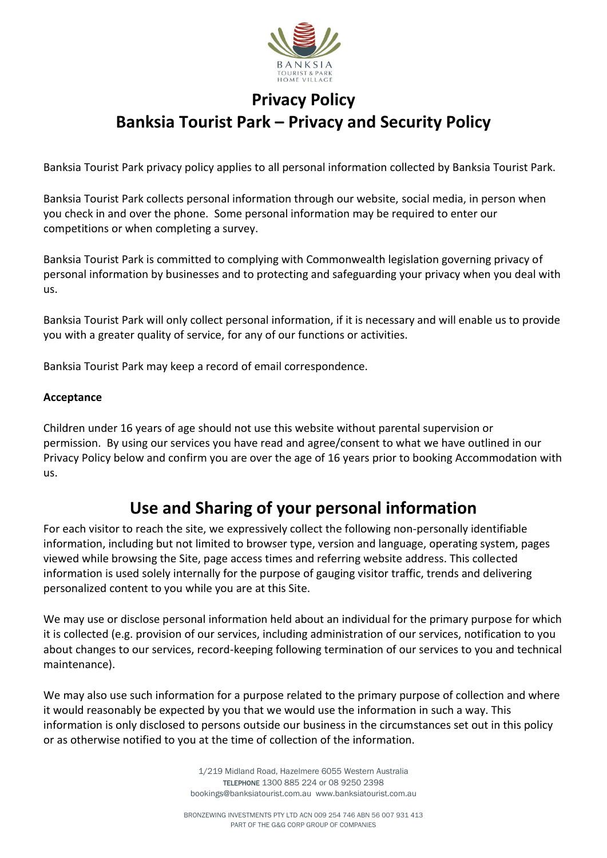

# **Privacy Policy Banksia Tourist Park – Privacy and Security Policy**

Banksia Tourist Park privacy policy applies to all personal information collected by Banksia Tourist Park.

Banksia Tourist Park collects personal information through our website, social media, in person when you check in and over the phone. Some personal information may be required to enter our competitions or when completing a survey.

Banksia Tourist Park is committed to complying with Commonwealth legislation governing privacy of personal information by businesses and to protecting and safeguarding your privacy when you deal with us.

Banksia Tourist Park will only collect personal information, if it is necessary and will enable us to provide you with a greater quality of service, for any of our functions or activities.

Banksia Tourist Park may keep a record of email correspondence.

#### **Acceptance**

Children under 16 years of age should not use this website without parental supervision or permission. By using our services you have read and agree/consent to what we have outlined in our Privacy Policy below and confirm you are over the age of 16 years prior to booking Accommodation with us.

### **Use and Sharing of your personal information**

For each visitor to reach the site, we expressively collect the following non-personally identifiable information, including but not limited to browser type, version and language, operating system, pages viewed while browsing the Site, page access times and referring website address. This collected information is used solely internally for the purpose of gauging visitor traffic, trends and delivering personalized content to you while you are at this Site.

We may use or disclose personal information held about an individual for the primary purpose for which it is collected (e.g. provision of our services, including administration of our services, notification to you about changes to our services, record-keeping following termination of our services to you and technical maintenance).

We may also use such information for a purpose related to the primary purpose of collection and where it would reasonably be expected by you that we would use the information in such a way. This information is only disclosed to persons outside our business in the circumstances set out in this policy or as otherwise notified to you at the time of collection of the information.

> 1/219 Midland Road, Hazelmere 6055 Western Australia TELEPHONE 1300 885 224 or 08 9250 2398 bookings@banksiatourist.com.au www.banksiatourist.com.au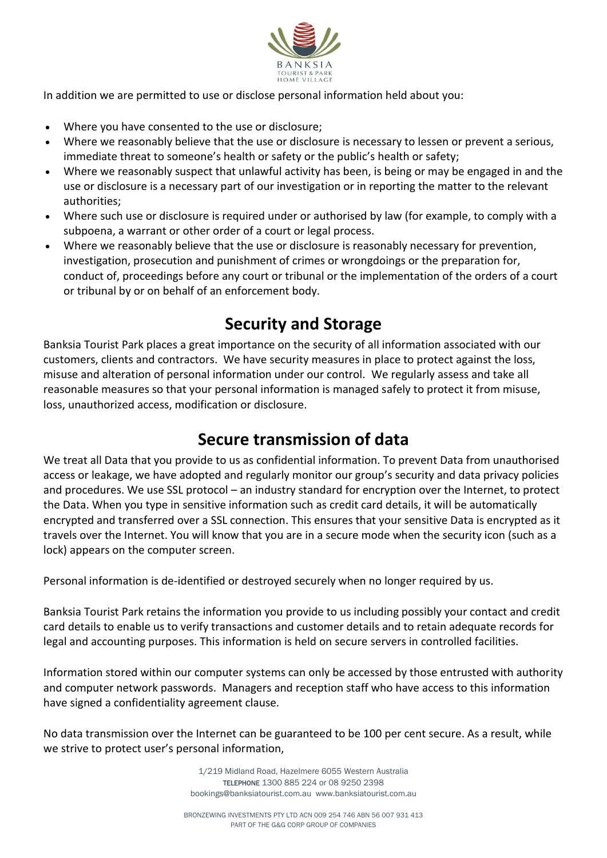

In addition we are permitted to use or disclose personal information held about you:

- Where you have consented to the use or disclosure;
- Where we reasonably believe that the use or disclosure is necessary to lessen or prevent a serious, immediate threat to someone's health or safety or the public's health or safety;
- Where we reasonably suspect that unlawful activity has been, is being or may be engaged in and the use or disclosure is a necessary part of our investigation or in reporting the matter to the relevant authorities;
- Where such use or disclosure is required under or authorised by law (for example, to comply with a subpoena, a warrant or other order of a court or legal process.
- Where we reasonably believe that the use or disclosure is reasonably necessary for prevention, investigation, prosecution and punishment of crimes or wrongdoings or the preparation for, conduct of, proceedings before any court or tribunal or the implementation of the orders of a court or tribunal by or on behalf of an enforcement body.

## **Security and Storage**

Banksia Tourist Park places a great importance on the security of all information associated with our customers, clients and contractors. We have security measures in place to protect against the loss, misuse and alteration of personal information under our control. We regularly assess and take all reasonable measures so that your personal information is managed safely to protect it from misuse, loss, unauthorized access, modification or disclosure.

### **Secure transmission of data**

We treat all Data that you provide to us as confidential information. To prevent Data from unauthorised access or leakage, we have adopted and regularly monitor our group's security and data privacy policies and procedures. We use SSL protocol – an industry standard for encryption over the Internet, to protect the Data. When you type in sensitive information such as credit card details, it will be automatically encrypted and transferred over a SSL connection. This ensures that your sensitive Data is encrypted as it travels over the Internet. You will know that you are in a secure mode when the security icon (such as a lock) appears on the computer screen.

Personal information is de-identified or destroyed securely when no longer required by us.

Banksia Tourist Park retains the information you provide to us including possibly your contact and credit card details to enable us to verify transactions and customer details and to retain adequate records for legal and accounting purposes. This information is held on secure servers in controlled facilities.

Information stored within our computer systems can only be accessed by those entrusted with authority and computer network passwords. Managers and reception staff who have access to this information have signed a confidentiality agreement clause.

No data transmission over the Internet can be guaranteed to be 100 per cent secure. As a result, while we strive to protect user's personal information,

> 1/219 Midland Road, Hazelmere 6055 Western Australia TELEPHONE 1300 885 224 or 08 9250 2398 bookings@banksiatourist.com.au www.banksiatourist.com.au